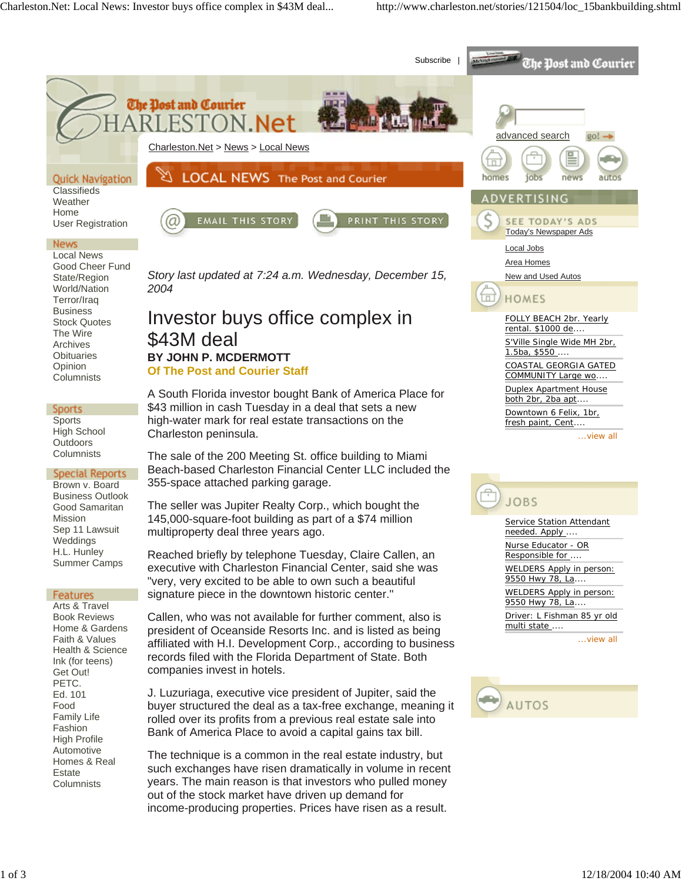